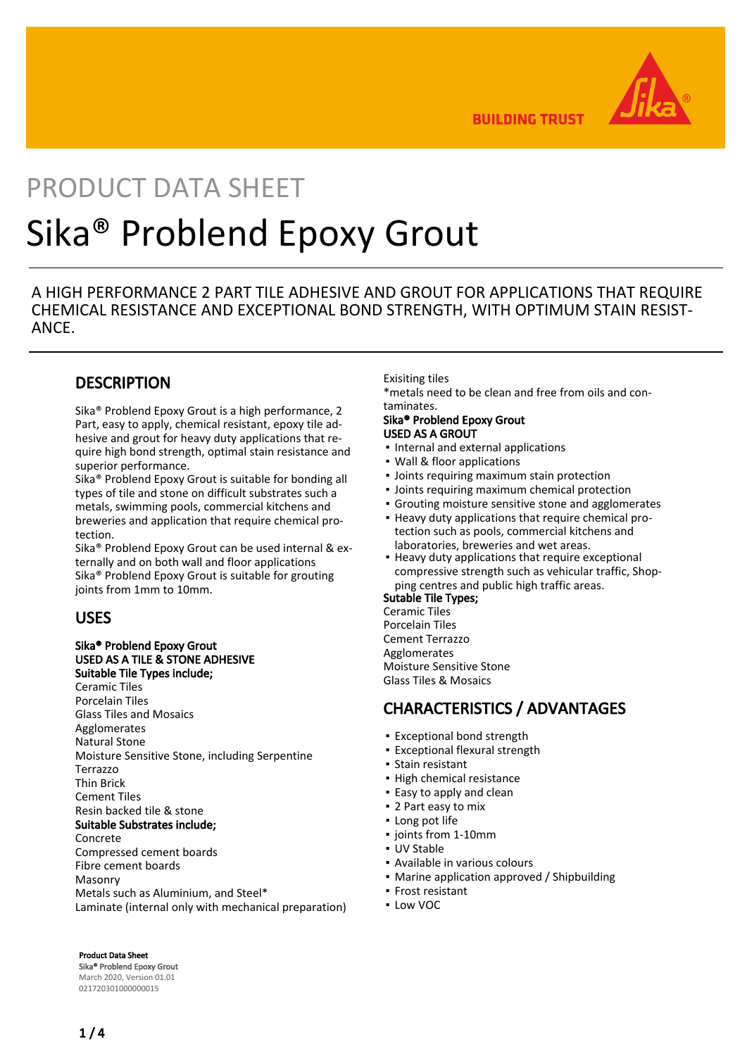

**BUILDING TRUST** 

# PRODUCT DATA SHEET Sika® Problend Epoxy Grout

A HIGH PERFORMANCE 2 PART TILE ADHESIVE AND GROUT FOR APPLICATIONS THAT REQUIRE CHEMICAL RESISTANCE AND EXCEPTIONAL BOND STRENGTH, WITH OPTIMUM STAIN RESIST-ANCE.

## **DESCRIPTION**

Sika® Problend Epoxy Grout is a high performance, 2 Part, easy to apply, chemical resistant, epoxy tile adhesive and grout for heavy duty applications that require high bond strength, optimal stain resistance and superior performance.

Sika® Problend Epoxy Grout is suitable for bonding all types of tile and stone on difficult substrates such a metals, swimming pools, commercial kitchens and breweries and application that require chemical protection.

Sika® Problend Epoxy Grout can be used internal & externally and on both wall and floor applications Sika® Problend Epoxy Grout is suitable for grouting joints from 1mm to 10mm.

## USES

#### Sika® Problend Epoxy Grout USED AS A TILE & STONE ADHESIVE Suitable Tile Types include;

Ceramic Tiles Porcelain Tiles Glass Tiles and Mosaics Agglomerates Natural Stone Moisture Sensitive Stone, including Serpentine Terrazzo Thin Brick Cement Tiles Resin backed tile & stone Suitable Substrates include; Concrete

Compressed cement boards Fibre cement boards Masonry Metals such as Aluminium, and Steel\* Laminate (internal only with mechanical preparation) Exisiting tiles

\*metals need to be clean and free from oils and contaminates.

#### Sika® Problend Epoxy Grout USED AS A GROUT

- Internal and external applications
- Wall & floor applications
- **Joints requiring maximum stain protection**
- Joints requiring maximum chemical protection
- Grouting moisture sensitive stone and agglomerates
- **.** Heavy duty applications that require chemical protection such as pools, commercial kitchens and laboratories, breweries and wet areas.
- **.** Heavy duty applications that require exceptional compressive strength such as vehicular traffic, Shopping centres and public high traffic areas.

#### Sutable Tile Types;

Ceramic Tiles Porcelain Tiles Cement Terrazzo Agglomerates Moisture Sensitive Stone Glass Tiles & Mosaics

## CHARACTERISTICS / ADVANTAGES

- Exceptional bond strength
- Exceptional flexural strength
- Stain resistant
- High chemical resistance
- **Easy to apply and clean**
- 2 Part easy to mix
- Long pot life
- joints from 1-10mm
- UV Stable
- Available in various colours
- Marine application approved / Shipbuilding
- Frost resistant
- Low VOC

Product Data Sheet Sika® Problend Epoxy Grout March 2020, Version 01.01 021720301000000015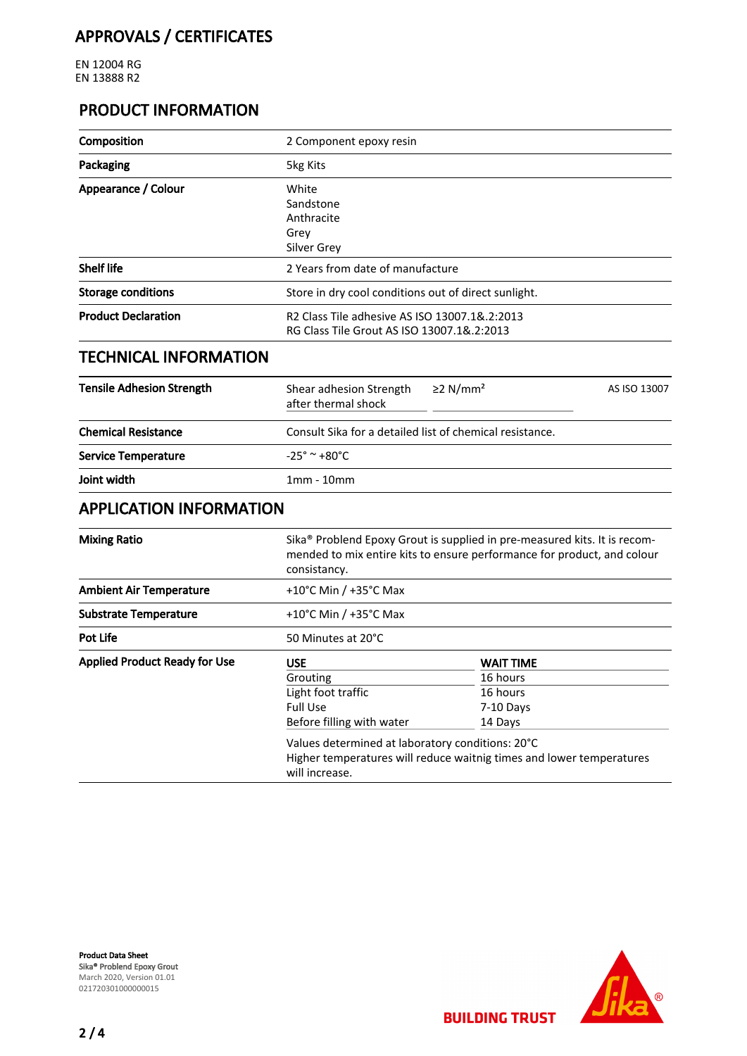# APPROVALS / CERTIFICATES

EN 12004 RG EN 13888 R2

## PRODUCT INFORMATION

| Composition                | 2 Component epoxy resin                                                                                 |  |
|----------------------------|---------------------------------------------------------------------------------------------------------|--|
| Packaging                  | 5kg Kits                                                                                                |  |
| Appearance / Colour        | White<br>Sandstone<br>Anthracite<br>Grev<br>Silver Grey                                                 |  |
| <b>Shelf life</b>          | 2 Years from date of manufacture                                                                        |  |
| <b>Storage conditions</b>  | Store in dry cool conditions out of direct sunlight.                                                    |  |
| <b>Product Declaration</b> | R <sub>2</sub> Class Tile adhesive AS ISO 13007.1& 2:2013<br>RG Class Tile Grout AS ISO 13007.1& 2:2013 |  |

## TECHNICAL INFORMATION

| <b>Tensile Adhesion Strength</b> | Shear adhesion Strength<br>after thermal shock | $\geq$ N/mm <sup>2</sup>                                 | AS ISO 13007 |  |
|----------------------------------|------------------------------------------------|----------------------------------------------------------|--------------|--|
| <b>Chemical Resistance</b>       |                                                | Consult Sika for a detailed list of chemical resistance. |              |  |
| <b>Service Temperature</b>       | $-25^\circ \approx +80^\circ C$                |                                                          |              |  |
| Joint width                      | $1mm - 10mm$                                   |                                                          |              |  |

## APPLICATION INFORMATION

| <b>Mixing Ratio</b>                  | Sika <sup>®</sup> Problend Epoxy Grout is supplied in pre-measured kits. It is recom-<br>mended to mix entire kits to ensure performance for product, and colour<br>consistancy. |                  |  |
|--------------------------------------|----------------------------------------------------------------------------------------------------------------------------------------------------------------------------------|------------------|--|
| <b>Ambient Air Temperature</b>       | $+10^{\circ}$ C Min / $+35^{\circ}$ C Max                                                                                                                                        |                  |  |
| <b>Substrate Temperature</b>         | $+10^{\circ}$ C Min / $+35^{\circ}$ C Max                                                                                                                                        |                  |  |
| Pot Life                             | 50 Minutes at 20°C                                                                                                                                                               |                  |  |
| <b>Applied Product Ready for Use</b> | <b>USE</b>                                                                                                                                                                       | <b>WAIT TIME</b> |  |
|                                      | Grouting                                                                                                                                                                         | 16 hours         |  |
|                                      | Light foot traffic                                                                                                                                                               | 16 hours         |  |
|                                      | <b>Full Use</b>                                                                                                                                                                  | $7-10$ Days      |  |
|                                      | Before filling with water                                                                                                                                                        | 14 Days          |  |
|                                      | Values determined at laboratory conditions: 20°C<br>Higher temperatures will reduce waitnig times and lower temperatures<br>will increase.                                       |                  |  |



**BUILDING TRUST**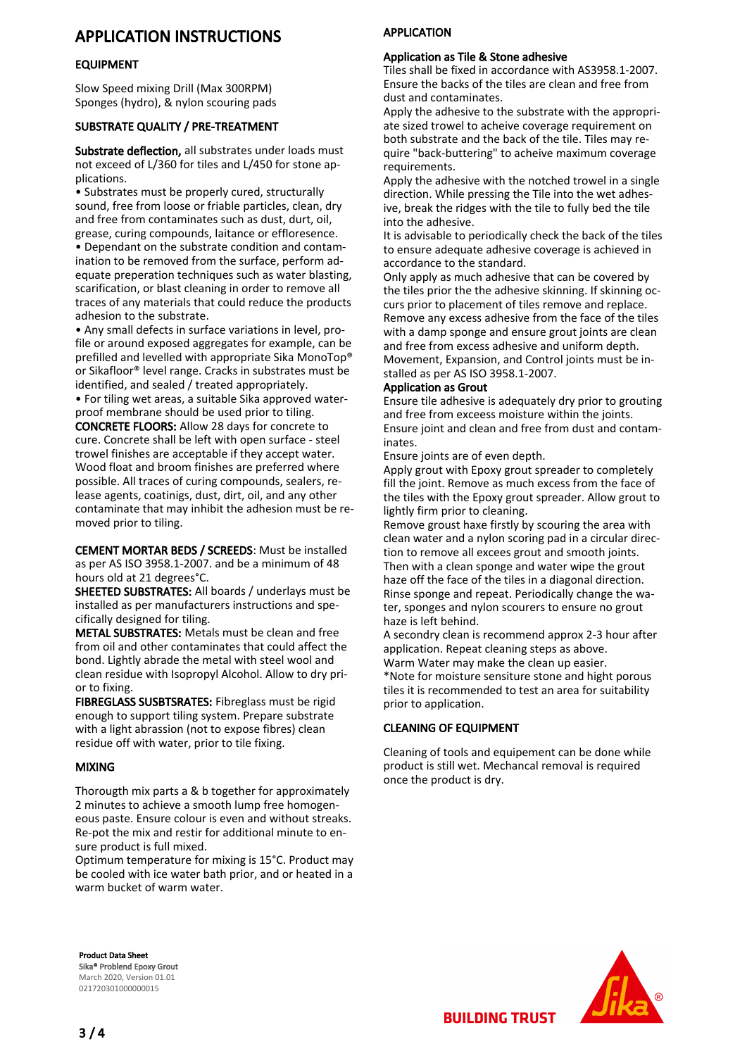## APPLICATION INSTRUCTIONS

#### EQUIPMENT

Slow Speed mixing Drill (Max 300RPM) Sponges (hydro), & nylon scouring pads

### SUBSTRATE QUALITY / PRE-TREATMENT

Substrate deflection, all substrates under loads must not exceed of L/360 for tiles and L/450 for stone applications.

• Substrates must be properly cured, structurally sound, free from loose or friable particles, clean, dry and free from contaminates such as dust, durt, oil, grease, curing compounds, laitance or effloresence. • Dependant on the substrate condition and contamination to be removed from the surface, perform adequate preperation techniques such as water blasting, scarification, or blast cleaning in order to remove all traces of any materials that could reduce the products adhesion to the substrate.

• Any small defects in surface variations in level, profile or around exposed aggregates for example, can be prefilled and levelled with appropriate Sika MonoTop® or Sikafloor® level range. Cracks in substrates must be identified, and sealed / treated appropriately.

• For tiling wet areas, a suitable Sika approved waterproof membrane should be used prior to tiling.

CONCRETE FLOORS: Allow 28 days for concrete to cure. Concrete shall be left with open surface - steel trowel finishes are acceptable if they accept water. Wood float and broom finishes are preferred where possible. All traces of curing compounds, sealers, release agents, coatinigs, dust, dirt, oil, and any other contaminate that may inhibit the adhesion must be removed prior to tiling.

CEMENT MORTAR BEDS / SCREEDS: Must be installed as per AS ISO 3958.1-2007. and be a minimum of 48 hours old at 21 degrees°C.

SHEETED SUBSTRATES: All boards / underlays must be installed as per manufacturers instructions and specifically designed for tiling.

METAL SUBSTRATES: Metals must be clean and free from oil and other contaminates that could affect the bond. Lightly abrade the metal with steel wool and clean residue with Isopropyl Alcohol. Allow to dry prior to fixing.

FIBREGLASS SUSBTSRATES: Fibreglass must be rigid enough to support tiling system. Prepare substrate with a light abrassion (not to expose fibres) clean residue off with water, prior to tile fixing.

#### MIXING

Thorougth mix parts a & b together for approximately 2 minutes to achieve a smooth lump free homogeneous paste. Ensure colour is even and without streaks. Re-pot the mix and restir for additional minute to ensure product is full mixed.

Optimum temperature for mixing is 15°C. Product may be cooled with ice water bath prior, and or heated in a warm bucket of warm water.

## APPLICATION

#### Application as Tile & Stone adhesive

Tiles shall be fixed in accordance with AS3958.1-2007. Ensure the backs of the tiles are clean and free from dust and contaminates.

Apply the adhesive to the substrate with the appropriate sized trowel to acheive coverage requirement on both substrate and the back of the tile. Tiles may require "back-buttering" to acheive maximum coverage requirements.

Apply the adhesive with the notched trowel in a single direction. While pressing the Tile into the wet adhesive, break the ridges with the tile to fully bed the tile into the adhesive.

It is advisable to periodically check the back of the tiles to ensure adequate adhesive coverage is achieved in accordance to the standard.

Only apply as much adhesive that can be covered by the tiles prior the the adhesive skinning. If skinning occurs prior to placement of tiles remove and replace. Remove any excess adhesive from the face of the tiles with a damp sponge and ensure grout joints are clean and free from excess adhesive and uniform depth. Movement, Expansion, and Control joints must be installed as per AS ISO 3958.1-2007.

#### Application as Grout

Ensure tile adhesive is adequately dry prior to grouting and free from exceess moisture within the joints. Ensure joint and clean and free from dust and contaminates.

Ensure joints are of even depth.

Apply grout with Epoxy grout spreader to completely fill the joint. Remove as much excess from the face of the tiles with the Epoxy grout spreader. Allow grout to lightly firm prior to cleaning.

Remove groust haxe firstly by scouring the area with clean water and a nylon scoring pad in a circular direction to remove all excees grout and smooth joints. Then with a clean sponge and water wipe the grout haze off the face of the tiles in a diagonal direction. Rinse sponge and repeat. Periodically change the water, sponges and nylon scourers to ensure no grout haze is left behind.

A secondry clean is recommend approx 2-3 hour after application. Repeat cleaning steps as above.

Warm Water may make the clean up easier. \*Note for moisture sensiture stone and hight porous tiles it is recommended to test an area for suitability prior to application.

## CLEANING OF EQUIPMENT

Cleaning of tools and equipement can be done while product is still wet. Mechancal removal is required once the product is dry.

Product Data Sheet Sika® Problend Epoxy Grout March 2020, Version 01.01 021720301000000015



**BUILDING TRUST**